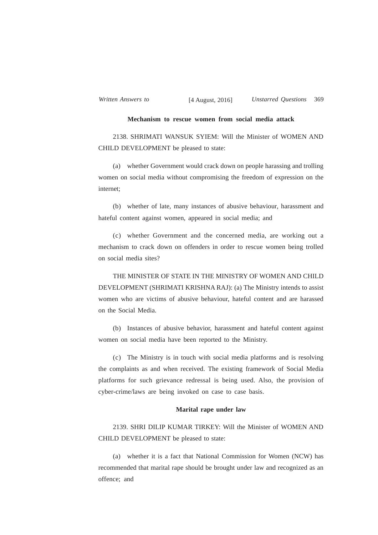## **Mechanism to rescue women from social media attack**

2138. SHRIMATI WANSUK SYIEM: Will the Minister of WOMEN AND CHILD DEVELOPMENT be pleased to state:

(a) whether Government would crack down on people harassing and trolling women on social media without compromising the freedom of expression on the internet;

(b) whether of late, many instances of abusive behaviour, harassment and hateful content against women, appeared in social media; and

(c) whether Government and the concerned media, are working out a mechanism to crack down on offenders in order to rescue women being trolled on social media sites?

THE MINISTER OF STATE IN THE MINISTRY OF WOMEN AND CHILD DEVELOPMENT (SHRIMATI KRISHNA RAJ): (a) The Ministry intends to assist women who are victims of abusive behaviour, hateful content and are harassed on the Social Media.

(b) Instances of abusive behavior, harassment and hateful content against women on social media have been reported to the Ministry.

(c) The Ministry is in touch with social media platforms and is resolving the complaints as and when received. The existing framework of Social Media platforms for such grievance redressal is being used. Also, the provision of cyber-crime/laws are being invoked on case to case basis.

## **Marital rape under law**

2139. SHRI DILIP KUMAR TIRKEY: Will the Minister of WOMEN AND CHILD DEVELOPMENT be pleased to state:

(a) whether it is a fact that National Commission for Women (NCW) has recommended that marital rape should be brought under law and recognized as an offence; and